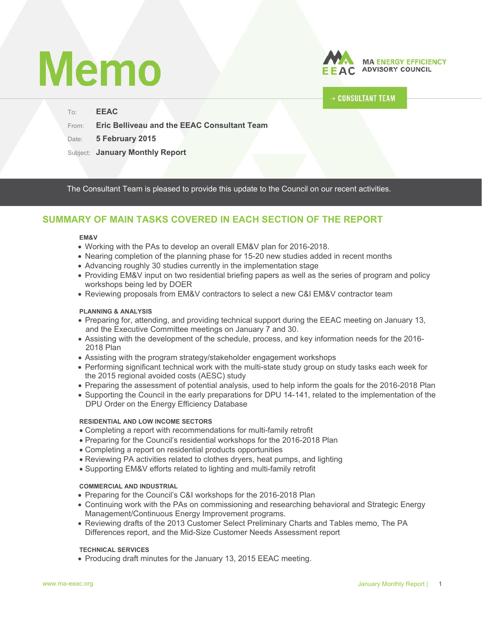# **Memo**

To: **EEAC** 



# **CONSULTANT TEAM**

From: **Eric Belliveau and the EEAC Consultant Team**

Date: 5 February 2015

Subject: **January Monthly Report**

The Consultant Team is pleased to provide this update to the Council on our recent activities.

# **SUMMARY OF MAIN TASKS COVERED IN EACH SECTION OF THE REPORT**

#### **EM&V**

- Working with the PAs to develop an overall EM&V plan for 2016-2018.
- Nearing completion of the planning phase for 15-20 new studies added in recent months
- Advancing roughly 30 studies currently in the implementation stage
- Providing EM&V input on two residential briefing papers as well as the series of program and policy workshops being led by DOER
- Reviewing proposals from EM&V contractors to select a new C&I EM&V contractor team

#### **PLANNING & ANALYSIS**

- Preparing for, attending, and providing technical support during the EEAC meeting on January 13, and the Executive Committee meetings on January 7 and 30.
- Assisting with the development of the schedule, process, and key information needs for the 2016- 2018 Plan
- Assisting with the program strategy/stakeholder engagement workshops
- Performing significant technical work with the multi-state study group on study tasks each week for the 2015 regional avoided costs (AESC) study
- Preparing the assessment of potential analysis, used to help inform the goals for the 2016-2018 Plan
- Supporting the Council in the early preparations for DPU 14-141, related to the implementation of the DPU Order on the Energy Efficiency Database

#### **RESIDENTIAL AND LOW INCOME SECTORS**

- Completing a report with recommendations for multi-family retrofit
- Preparing for the Council's residential workshops for the 2016-2018 Plan
- Completing a report on residential products opportunities
- Reviewing PA activities related to clothes dryers, heat pumps, and lighting
- Supporting EM&V efforts related to lighting and multi-family retrofit

#### **COMMERCIAL AND INDUSTRIAL**

- Preparing for the Council's C&I workshops for the 2016-2018 Plan
- Continuing work with the PAs on commissioning and researching behavioral and Strategic Energy Management/Continuous Energy Improvement programs.
- Reviewing drafts of the 2013 Customer Select Preliminary Charts and Tables memo, The PA Differences report, and the Mid-Size Customer Needs Assessment report

#### **TECHNICAL SERVICES**

• Producing draft minutes for the January 13, 2015 EEAC meeting.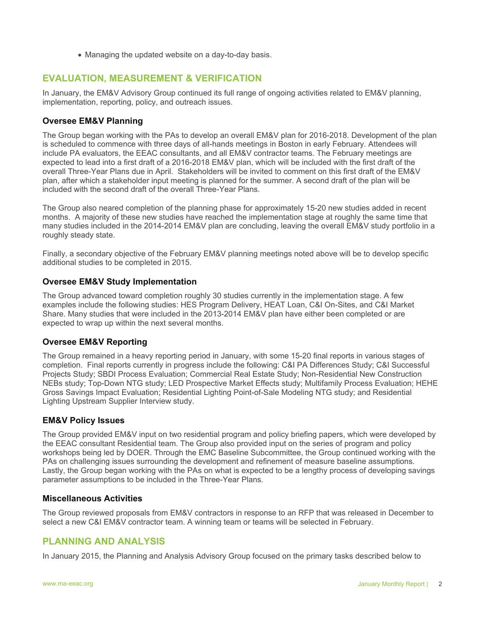• Managing the updated website on a day-to-day basis.

# **EVALUATION, MEASUREMENT & VERIFICATION**

In January, the EM&V Advisory Group continued its full range of ongoing activities related to EM&V planning, implementation, reporting, policy, and outreach issues.

## **Oversee EM&V Planning**

The Group began working with the PAs to develop an overall EM&V plan for 2016-2018. Development of the plan is scheduled to commence with three days of all-hands meetings in Boston in early February. Attendees will include PA evaluators, the EEAC consultants, and all EM&V contractor teams. The February meetings are expected to lead into a first draft of a 2016-2018 EM&V plan, which will be included with the first draft of the overall Three-Year Plans due in April. Stakeholders will be invited to comment on this first draft of the EM&V plan, after which a stakeholder input meeting is planned for the summer. A second draft of the plan will be included with the second draft of the overall Three-Year Plans.

The Group also neared completion of the planning phase for approximately 15-20 new studies added in recent months. A majority of these new studies have reached the implementation stage at roughly the same time that many studies included in the 2014-2014 EM&V plan are concluding, leaving the overall EM&V study portfolio in a roughly steady state.

Finally, a secondary objective of the February EM&V planning meetings noted above will be to develop specific additional studies to be completed in 2015.

## **Oversee EM&V Study Implementation**

The Group advanced toward completion roughly 30 studies currently in the implementation stage. A few examples include the following studies: HES Program Delivery, HEAT Loan, C&I On-Sites, and C&I Market Share. Many studies that were included in the 2013-2014 EM&V plan have either been completed or are expected to wrap up within the next several months.

## **Oversee EM&V Reporting**

The Group remained in a heavy reporting period in January, with some 15-20 final reports in various stages of completion. Final reports currently in progress include the following: C&I PA Differences Study; C&I Successful Projects Study; SBDI Process Evaluation; Commercial Real Estate Study; Non-Residential New Construction NEBs study; Top-Down NTG study; LED Prospective Market Effects study; Multifamily Process Evaluation; HEHE Gross Savings Impact Evaluation; Residential Lighting Point-of-Sale Modeling NTG study; and Residential Lighting Upstream Supplier Interview study.

#### **EM&V Policy Issues**

The Group provided EM&V input on two residential program and policy briefing papers, which were developed by the EEAC consultant Residential team. The Group also provided input on the series of program and policy workshops being led by DOER. Through the EMC Baseline Subcommittee, the Group continued working with the PAs on challenging issues surrounding the development and refinement of measure baseline assumptions. Lastly, the Group began working with the PAs on what is expected to be a lengthy process of developing savings parameter assumptions to be included in the Three-Year Plans.

#### **Miscellaneous Activities**

The Group reviewed proposals from EM&V contractors in response to an RFP that was released in December to select a new C&I EM&V contractor team. A winning team or teams will be selected in February.

## **PLANNING AND ANALYSIS**

In January 2015, the Planning and Analysis Advisory Group focused on the primary tasks described below to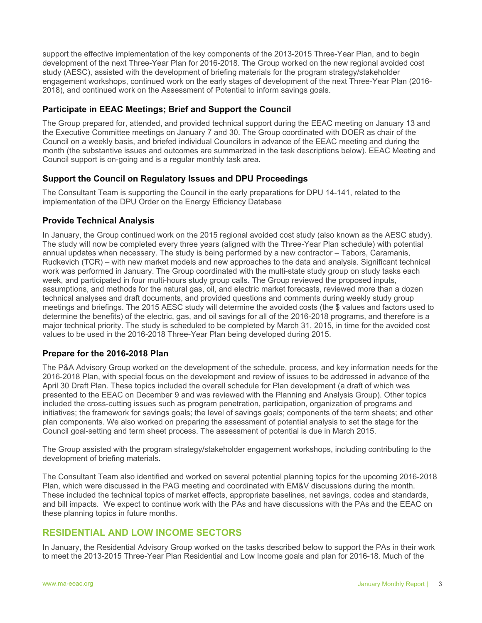support the effective implementation of the key components of the 2013-2015 Three-Year Plan, and to begin development of the next Three-Year Plan for 2016-2018. The Group worked on the new regional avoided cost study (AESC), assisted with the development of briefing materials for the program strategy/stakeholder engagement workshops, continued work on the early stages of development of the next Three-Year Plan (2016- 2018), and continued work on the Assessment of Potential to inform savings goals.

#### **Participate in EEAC Meetings; Brief and Support the Council**

The Group prepared for, attended, and provided technical support during the EEAC meeting on January 13 and the Executive Committee meetings on January 7 and 30. The Group coordinated with DOER as chair of the Council on a weekly basis, and briefed individual Councilors in advance of the EEAC meeting and during the month (the substantive issues and outcomes are summarized in the task descriptions below). EEAC Meeting and Council support is on-going and is a regular monthly task area.

#### **Support the Council on Regulatory Issues and DPU Proceedings**

The Consultant Team is supporting the Council in the early preparations for DPU 14-141, related to the implementation of the DPU Order on the Energy Efficiency Database

#### **Provide Technical Analysis**

In January, the Group continued work on the 2015 regional avoided cost study (also known as the AESC study). The study will now be completed every three years (aligned with the Three-Year Plan schedule) with potential annual updates when necessary. The study is being performed by a new contractor – Tabors, Caramanis, Rudkevich (TCR) – with new market models and new approaches to the data and analysis. Significant technical work was performed in January. The Group coordinated with the multi-state study group on study tasks each week, and participated in four multi-hours study group calls. The Group reviewed the proposed inputs, assumptions, and methods for the natural gas, oil, and electric market forecasts, reviewed more than a dozen technical analyses and draft documents, and provided questions and comments during weekly study group meetings and briefings. The 2015 AESC study will determine the avoided costs (the \$ values and factors used to determine the benefits) of the electric, gas, and oil savings for all of the 2016-2018 programs, and therefore is a major technical priority. The study is scheduled to be completed by March 31, 2015, in time for the avoided cost values to be used in the 2016-2018 Three-Year Plan being developed during 2015.

#### **Prepare for the 2016-2018 Plan**

The P&A Advisory Group worked on the development of the schedule, process, and key information needs for the 2016-2018 Plan, with special focus on the development and review of issues to be addressed in advance of the April 30 Draft Plan. These topics included the overall schedule for Plan development (a draft of which was presented to the EEAC on December 9 and was reviewed with the Planning and Analysis Group). Other topics included the cross-cutting issues such as program penetration, participation, organization of programs and initiatives; the framework for savings goals; the level of savings goals; components of the term sheets; and other plan components. We also worked on preparing the assessment of potential analysis to set the stage for the Council goal-setting and term sheet process. The assessment of potential is due in March 2015.

The Group assisted with the program strategy/stakeholder engagement workshops, including contributing to the development of briefing materials.

The Consultant Team also identified and worked on several potential planning topics for the upcoming 2016-2018 Plan, which were discussed in the PAG meeting and coordinated with EM&V discussions during the month. These included the technical topics of market effects, appropriate baselines, net savings, codes and standards, and bill impacts. We expect to continue work with the PAs and have discussions with the PAs and the EEAC on these planning topics in future months.

## **RESIDENTIAL AND LOW INCOME SECTORS**

In January, the Residential Advisory Group worked on the tasks described below to support the PAs in their work to meet the 2013-2015 Three-Year Plan Residential and Low Income goals and plan for 2016-18. Much of the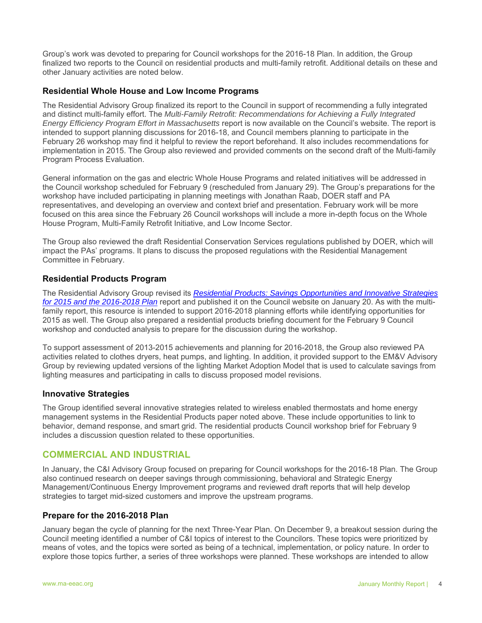Group's work was devoted to preparing for Council workshops for the 2016-18 Plan. In addition, the Group finalized two reports to the Council on residential products and multi-family retrofit. Additional details on these and other January activities are noted below.

#### **Residential Whole House and Low Income Programs**

The Residential Advisory Group finalized its report to the Council in support of recommending a fully integrated and distinct multi-family effort. The *Multi-Family Retrofit: Recommendations for Achieving a Fully Integrated Energy Efficiency Program Effort in Massachusetts* report is now available on the Council's website. The report is intended to support planning discussions for 2016-18, and Council members planning to participate in the February 26 workshop may find it helpful to review the report beforehand. It also includes recommendations for implementation in 2015. The Group also reviewed and provided comments on the second draft of the Multi-family Program Process Evaluation.

General information on the gas and electric Whole House Programs and related initiatives will be addressed in the Council workshop scheduled for February 9 (rescheduled from January 29). The Group's preparations for the workshop have included participating in planning meetings with Jonathan Raab, DOER staff and PA representatives, and developing an overview and context brief and presentation. February work will be more focused on this area since the February 26 Council workshops will include a more in-depth focus on the Whole House Program, Multi-Family Retrofit Initiative, and Low Income Sector.

The Group also reviewed the draft Residential Conservation Services regulations published by DOER, which will impact the PAs' programs. It plans to discuss the proposed regulations with the Residential Management Committee in February.

#### **Residential Products Program**

The Residential Advisory Group revised its *Residential Products: Savings Opportunities and Innovative Strategies for 2015 and the 2016-2018 Plan* report and published it on the Council website on January 20. As with the multifamily report, this resource is intended to support 2016-2018 planning efforts while identifying opportunities for 2015 as well. The Group also prepared a residential products briefing document for the February 9 Council workshop and conducted analysis to prepare for the discussion during the workshop.

To support assessment of 2013-2015 achievements and planning for 2016-2018, the Group also reviewed PA activities related to clothes dryers, heat pumps, and lighting. In addition, it provided support to the EM&V Advisory Group by reviewing updated versions of the lighting Market Adoption Model that is used to calculate savings from lighting measures and participating in calls to discuss proposed model revisions.

#### **Innovative Strategies**

The Group identified several innovative strategies related to wireless enabled thermostats and home energy management systems in the Residential Products paper noted above. These include opportunities to link to behavior, demand response, and smart grid. The residential products Council workshop brief for February 9 includes a discussion question related to these opportunities.

# **COMMERCIAL AND INDUSTRIAL**

In January, the C&I Advisory Group focused on preparing for Council workshops for the 2016-18 Plan. The Group also continued research on deeper savings through commissioning, behavioral and Strategic Energy Management/Continuous Energy Improvement programs and reviewed draft reports that will help develop strategies to target mid-sized customers and improve the upstream programs.

#### **Prepare for the 2016-2018 Plan**

January began the cycle of planning for the next Three-Year Plan. On December 9, a breakout session during the Council meeting identified a number of C&I topics of interest to the Councilors. These topics were prioritized by means of votes, and the topics were sorted as being of a technical, implementation, or policy nature. In order to explore those topics further, a series of three workshops were planned. These workshops are intended to allow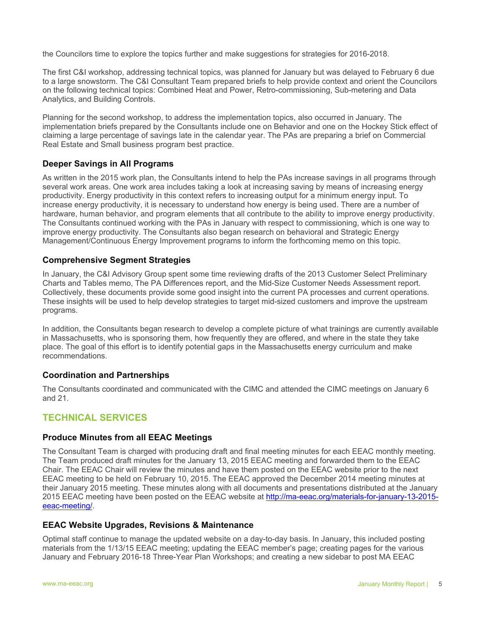the Councilors time to explore the topics further and make suggestions for strategies for 2016-2018.

The first C&I workshop, addressing technical topics, was planned for January but was delayed to February 6 due to a large snowstorm. The C&I Consultant Team prepared briefs to help provide context and orient the Councilors on the following technical topics: Combined Heat and Power, Retro-commissioning, Sub-metering and Data Analytics, and Building Controls.

Planning for the second workshop, to address the implementation topics, also occurred in January. The implementation briefs prepared by the Consultants include one on Behavior and one on the Hockey Stick effect of claiming a large percentage of savings late in the calendar year. The PAs are preparing a brief on Commercial Real Estate and Small business program best practice.

## **Deeper Savings in All Programs**

As written in the 2015 work plan, the Consultants intend to help the PAs increase savings in all programs through several work areas. One work area includes taking a look at increasing saving by means of increasing energy productivity. Energy productivity in this context refers to increasing output for a minimum energy input. To increase energy productivity, it is necessary to understand how energy is being used. There are a number of hardware, human behavior, and program elements that all contribute to the ability to improve energy productivity. The Consultants continued working with the PAs in January with respect to commissioning, which is one way to improve energy productivity. The Consultants also began research on behavioral and Strategic Energy Management/Continuous Energy Improvement programs to inform the forthcoming memo on this topic.

#### **Comprehensive Segment Strategies**

In January, the C&I Advisory Group spent some time reviewing drafts of the 2013 Customer Select Preliminary Charts and Tables memo, The PA Differences report, and the Mid-Size Customer Needs Assessment report. Collectively, these documents provide some good insight into the current PA processes and current operations. These insights will be used to help develop strategies to target mid-sized customers and improve the upstream programs.

In addition, the Consultants began research to develop a complete picture of what trainings are currently available in Massachusetts, who is sponsoring them, how frequently they are offered, and where in the state they take place. The goal of this effort is to identify potential gaps in the Massachusetts energy curriculum and make recommendations.

#### **Coordination and Partnerships**

The Consultants coordinated and communicated with the CIMC and attended the CIMC meetings on January 6 and 21.

## **TECHNICAL SERVICES**

#### **Produce Minutes from all EEAC Meetings**

The Consultant Team is charged with producing draft and final meeting minutes for each EEAC monthly meeting. The Team produced draft minutes for the January 13, 2015 EEAC meeting and forwarded them to the EEAC Chair. The EEAC Chair will review the minutes and have them posted on the EEAC website prior to the next EEAC meeting to be held on February 10, 2015. The EEAC approved the December 2014 meeting minutes at their January 2015 meeting. These minutes along with all documents and presentations distributed at the January 2015 EEAC meeting have been posted on the EEAC website at http://ma-eeac.org/materials-for-january-13-2015 eeac-meeting/.

#### **EEAC Website Upgrades, Revisions & Maintenance**

Optimal staff continue to manage the updated website on a day-to-day basis. In January, this included posting materials from the 1/13/15 EEAC meeting; updating the EEAC member's page; creating pages for the various January and February 2016-18 Three-Year Plan Workshops; and creating a new sidebar to post MA EEAC